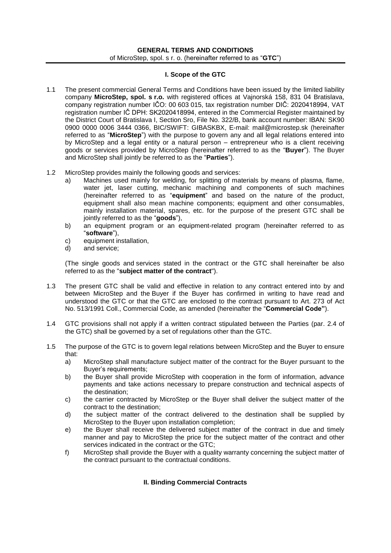# **GENERAL TERMS AND CONDITIONS** of MicroStep, spol. s r. o. (hereinafter referred to as "**GTC**")

#### **I. Scope of the GTC**

- 1.1 The present commercial General Terms and Conditions have been issued by the limited liability company **MicroStep, spol. s r.o.** with registered offices at Vajnorská 158, 831 04 Bratislava, company registration number IČO: 00 603 015, tax registration number DIČ: 2020418994, VAT registration number IČ DPH: SK2020418994, entered in the Commercial Register maintained by the District Court of Bratislava I, Section Sro, File No. 322/B, bank account number: IBAN: SK90 0900 0000 0006 3444 0366, BIC/SWIFT: GIBASKBX, E-mail: mail@microstep.sk (hereinafter referred to as "**MicroStep**") with the purpose to govern any and all legal relations entered into by MicroStep and a legal entity or a natural person – entrepreneur who is a client receiving goods or services provided by MicroStep (hereinafter referred to as the "**Buyer**"). The Buyer and MicroStep shall jointly be referred to as the "**Parties**").
- 1.2 MicroStep provides mainly the following goods and services:
	- a) Machines used mainly for welding, for splitting of materials by means of plasma, flame, water jet, laser cutting, mechanic machining and components of such machines (hereinafter referred to as "**equipment**" and based on the nature of the product, equipment shall also mean machine components; equipment and other consumables, mainly installation material, spares, etc. for the purpose of the present GTC shall be jointly referred to as the "**goods**"),
	- b) an equipment program or an equipment-related program (hereinafter referred to as "**software**"),
	- c) equipment installation,
	- d) and service;

(The single goods and services stated in the contract or the GTC shall hereinafter be also referred to as the "**subject matter of the contract**").

- 1.3 The present GTC shall be valid and effective in relation to any contract entered into by and between MicroStep and the Buyer if the Buyer has confirmed in writing to have read and understood the GTC or that the GTC are enclosed to the contract pursuant to Art. 273 of Act No. 513/1991 Coll., Commercial Code, as amended (hereinafter the "**Commercial Code"**).
- 1.4 GTC provisions shall not apply if a written contract stipulated between the Parties (par. 2.4 of the GTC) shall be governed by a set of regulations other than the GTC.
- 1.5 The purpose of the GTC is to govern legal relations between MicroStep and the Buyer to ensure that:
	- a) MicroStep shall manufacture subject matter of the contract for the Buyer pursuant to the Buyer's requirements;
	- b) the Buyer shall provide MicroStep with cooperation in the form of information, advance payments and take actions necessary to prepare construction and technical aspects of the destination;
	- c) the carrier contracted by MicroStep or the Buyer shall deliver the subject matter of the contract to the destination;
	- d) the subject matter of the contract delivered to the destination shall be supplied by MicroStep to the Buyer upon installation completion;
	- e) the Buyer shall receive the delivered subject matter of the contract in due and timely manner and pay to MicroStep the price for the subject matter of the contract and other services indicated in the contract or the GTC;
	- f) MicroStep shall provide the Buyer with a quality warranty concerning the subject matter of the contract pursuant to the contractual conditions.

## **II. Binding Commercial Contracts**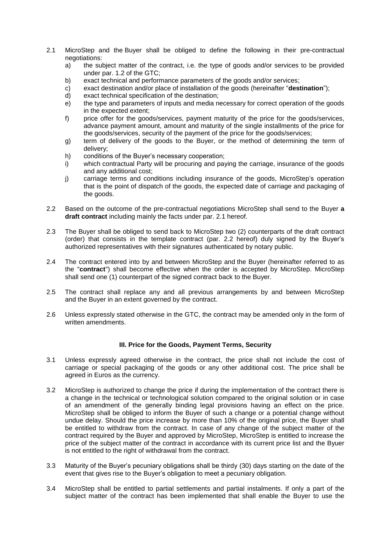- 2.1 MicroStep and the Buyer shall be obliged to define the following in their pre-contractual negotiations:
	- a) the subject matter of the contract, i.e. the type of goods and/or services to be provided under par. 1.2 of the GTC;
	- b) exact technical and performance parameters of the goods and/or services;
	- c) exact destination and/or place of installation of the goods (hereinafter "**destination**");
	- d) exact technical specification of the destination;
	- e) the type and parameters of inputs and media necessary for correct operation of the goods in the expected extent;
	- f) price offer for the goods/services, payment maturity of the price for the goods/services, advance payment amount, amount and maturity of the single installments of the price for the goods/services, security of the payment of the price for the goods/services;
	- g) term of delivery of the goods to the Buyer, or the method of determining the term of delivery;
	- h) conditions of the Buyer's necessary cooperation;
	- i) which contractual Party will be procuring and paying the carriage, insurance of the goods and any additional cost;
	- j) carriage terms and conditions including insurance of the goods, MicroStep's operation that is the point of dispatch of the goods, the expected date of carriage and packaging of the goods.
- 2.2 Based on the outcome of the pre-contractual negotiations MicroStep shall send to the Buyer **a draft contract** including mainly the facts under par. 2.1 hereof.
- 2.3 The Buyer shall be obliged to send back to MicroStep two (2) counterparts of the draft contract (order) that consists in the template contract (par. 2.2 hereof) duly signed by the Buyer's authorized representatives with their signatures authenticated by notary public.
- 2.4 The contract entered into by and between MicroStep and the Buyer (hereinafter referred to as the "**contract**") shall become effective when the order is accepted by MicroStep. MicroStep shall send one (1) counterpart of the signed contract back to the Buyer.
- 2.5 The contract shall replace any and all previous arrangements by and between MicroStep and the Buyer in an extent governed by the contract.
- 2.6 Unless expressly stated otherwise in the GTC, the contract may be amended only in the form of written amendments.

#### **III. Price for the Goods, Payment Terms, Security**

- 3.1 Unless expressly agreed otherwise in the contract, the price shall not include the cost of carriage or special packaging of the goods or any other additional cost. The price shall be agreed in Euros as the currency.
- 3.2 MicroStep is authorized to change the price if during the implementation of the contract there is a change in the technical or technological solution compared to the original solution or in case of an amendment of the generally binding legal provisions having an effect on the price. MicroStep shall be obliged to inform the Buyer of such a change or a potential change without undue delay. Should the price increase by more than 10% of the original price, the Buyer shall be entitled to withdraw from the contract. In case of any change of the subject matter of the contract required by the Buyer and approved by MicroStep, MicroStep is entitled to increase the price of the subject matter of the contract in accordance with its current price list and the Byuer is not entitled to the right of withdrawal from the contract.
- 3.3 Maturity of the Buyer's pecuniary obligations shall be thirdy (30) days starting on the date of the event that gives rise to the Buyer's obligation to meet a pecuniary obligation.
- 3.4 MicroStep shall be entitled to partial settlements and partial instalments. If only a part of the subject matter of the contract has been implemented that shall enable the Buyer to use the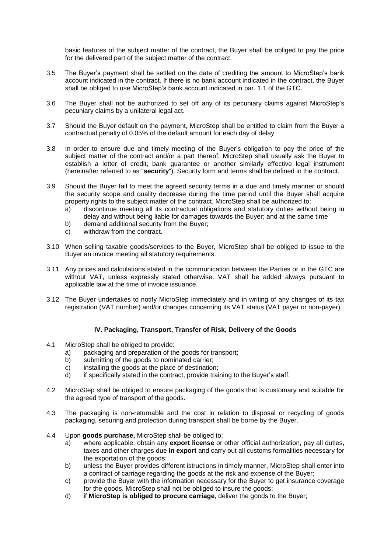basic features of the subject matter of the contract, the Buyer shall be obliged to pay the price for the delivered part of the subject matter of the contract.

- 3.5 The Buyer's payment shall be settled on the date of crediting the amount to MicroStep's bank account indicated in the contract. If there is no bank account indicated in the contract, the Buyer shall be obliged to use MicroStep's bank account indicated in par. 1.1 of the GTC.
- 3.6 The Buyer shall not be authorized to set off any of its pecuniary claims against MicroStep's pecuniary claims by a unilateral legal act.
- 3.7 Should the Buyer default on the payment, MicroStep shall be entitled to claim from the Buyer a contractual penalty of 0.05% of the default amount for each day of delay.
- 3.8 In order to ensure due and timely meeting of the Buyer's obligation to pay the price of the subject matter of the contract and/or a part thereof, MicroStep shall usually ask the Buyer to establish a letter of credit, bank guarantee or another similarly effective legal instrument (hereinafter referred to as "**security**"). Security form and terms shall be defined in the contract.
- 3.9 Should the Buyer fail to meet the agreed security terms in a due and timely manner or should the security scope and quality decrease during the time period until the Buyer shall acquire property rights to the subject matter of the contract, MicroStep shall be authorized to:
	- a) discontinue meeting all its contractual obligations and statutory duties without being in delay and without being liable for damages towards the Buyer; and at the same time
	- b) demand additional security from the Buyer;
	- c) withdraw from the contract.
- 3.10 When selling taxable goods/services to the Buyer, MicroStep shall be obliged to issue to the Buyer an invoice meeting all statutory requirements.
- 3.11 Any prices and calculations stated in the communication between the Parties or in the GTC are without VAT, unless expressly stated otherwise. VAT shall be added always pursuant to applicable law at the time of invoice issuance.
- 3.12 The Buyer undertakes to notify MicroStep immediately and in writing of any changes of its tax registration (VAT number) and/or changes concerning its VAT status (VAT payer or non-payer).

## **IV. Packaging, Transport, Transfer of Risk, Delivery of the Goods**

- 4.1 MicroStep shall be obliged to provide:
	- a) packaging and preparation of the goods for transport;
	- b) submitting of the goods to nominated carrier;
	- c) installing the goods at the place of destination;
	- d) if specifically stated in the contract, provide training to the Buyer's staff.
- 4.2 MicroStep shall be obliged to ensure packaging of the goods that is customary and suitable for the agreed type of transport of the goods.
- 4.3 The packaging is non-returnable and the cost in relation to disposal or recycling of goods packaging, securing and protection during transport shall be borne by the Buyer.
- 4.4 Upon **goods purchase,** MicroStep shall be obliged to:
	- a) where applicable, obtain any **export license** or other official authorization, pay all duties, taxes and other charges due **in export** and carry out all customs formalities necessary for the exportation of the goods;
	- b) unless the Buyer provides different istructions in timely manner, MicroStep shall enter into a contract of carriage regarding the goods at the risk and expense of the Buyer;
	- c) provide the Buyer with the information necessary for the Buyer to get insurance coverage for the goods. MicroStep shall not be obliged to insure the goods;
	- d) if **MicroStep is obliged to procure carriage**, deliver the goods to the Buyer;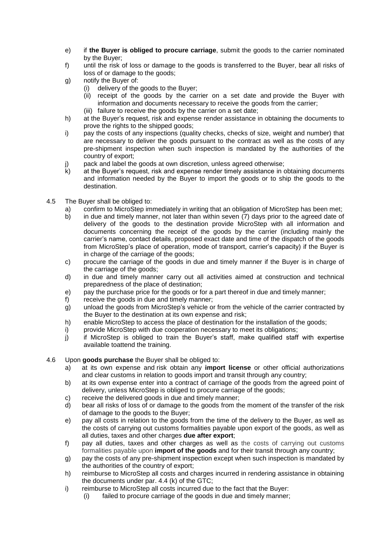- e) if **the Buyer is obliged to procure carriage**, submit the goods to the carrier nominated by the Buyer;
- f) until the risk of loss or damage to the goods is transferred to the Buyer, bear all risks of loss of or damage to the goods;
- g) notify the Buyer of:
	- (i) delivery of the goods to the Buyer;
		- (ii) receipt of the goods by the carrier on a set date and provide the Buyer with information and documents necessary to receive the goods from the carrier;
		- (iii) failure to receive the goods by the carrier on a set date;
- h) at the Buyer's request, risk and expense render assistance in obtaining the documents to prove the rights to the shipped goods;
- i) pay the costs of any inspections (quality checks, checks of size, weight and number) that are necessary to deliver the goods pursuant to the contract as well as the costs of any pre-shipment inspection when such inspection is mandated by the authorities of the country of export;
- j) pack and label the goods at own discretion, unless agreed otherwise;
- k) at the Buyer's request, risk and expense render timely assistance in obtaining documents and information needed by the Buyer to import the goods or to ship the goods to the destination.
- 4.5 The Buyer shall be obliged to:
	- a) confirm to MicroStep immediately in writing that an obligation of MicroStep has been met;
	- b) in due and timely manner, not later than within seven (7) days prior to the agreed date of delivery of the goods to the destination provide MicroStep with all information and documents concerning the receipt of the goods by the carrier (including mainly the carrier's name, contact details, proposed exact date and time of the dispatch of the goods from MicroStep's place of operation, mode of transport, carrier's capacity) if the Buyer is in charge of the carriage of the goods;
	- c) procure the carriage of the goods in due and timely manner if the Buyer is in charge of the carriage of the goods;
	- d) in due and timely manner carry out all activities aimed at construction and technical preparedness of the place of destination;
	- e) pay the purchase price for the goods or for a part thereof in due and timely manner;
	- f) receive the goods in due and timely manner;
	- g) unload the goods from MicroStep's vehicle or from the vehicle of the carrier contracted by the Buyer to the destination at its own expense and risk;
	- h) enable MicroStep to access the place of destination for the installation of the goods;
	- i) provide MicroStep with due cooperation necessary to meet its obligations;
	- j) if MicroStep is obliged to train the Buyer's staff, make qualified staff with expertise available toattend the training.
- 4.6 Upon **goods purchase** the Buyer shall be obliged to:
	- a) at its own expense and risk obtain any **import license** or other official authorizations and clear customs in relation to goods import and transit through any country;
	- b) at its own expense enter into a contract of carriage of the goods from the agreed point of delivery, unless MicroStep is obliged to procure carriage of the goods;
	- c) receive the delivered goods in due and timely manner;
	- d) bear all risks of loss of or damage to the goods from the moment of the transfer of the risk of damage to the goods to the Buyer;
	- e) pay all costs in relation to the goods from the time of the delivery to the Buyer, as well as the costs of carrying out customs formalities payable upon export of the goods, as well as all duties, taxes and other charges **due after export**;
	- f) pay all duties, taxes and other charges as well as the costs of carrying out customs formalities payable upon **import of the goods** and for their transit through any country;
	- g) pay the costs of any pre-shipment inspection except when such inspection is mandated by the authorities of the country of export;
	- h) reimburse to MicroStep all costs and charges incurred in rendering assistance in obtaining the documents under par. 4.4 (k) of the GTC;
	- i) reimburse to MicroStep all costs incurred due to the fact that the Buyer:
		- (i) failed to procure carriage of the goods in due and timely manner;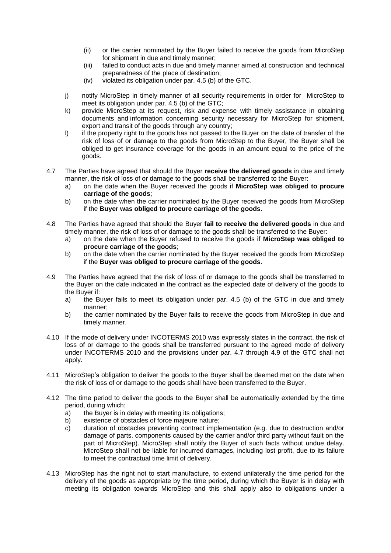- (ii) or the carrier nominated by the Buyer failed to receive the goods from MicroStep for shipment in due and timely manner;
- (iii) failed to conduct acts in due and timely manner aimed at construction and technical preparedness of the place of destination;
- (iv) violated its obligation under par. 4.5 (b) of the GTC.
- j) notify MicroStep in timely manner of all security requirements in order for MicroStep to meet its obligation under par. 4.5 (b) of the GTC;
- k) provide MicroStep at its request, risk and expense with timely assistance in obtaining documents and information concerning security necessary for MicroStep for shipment, export and transit of the goods through any country;
- I) if the property right to the goods has not passed to the Buyer on the date of transfer of the risk of loss of or damage to the goods from MicroStep to the Buyer, the Buyer shall be obliged to get insurance coverage for the goods in an amount equal to the price of the goods.
- 4.7 The Parties have agreed that should the Buyer **receive the delivered goods** in due and timely manner, the risk of loss of or damage to the goods shall be transferred to the Buyer:
	- a) on the date when the Buyer received the goods if **MicroStep was obliged to procure carriage of the goods**;
	- b) on the date when the carrier nominated by the Buyer received the goods from MicroStep if the **Buyer was obliged to procure carriage of the goods**.
- 4.8 The Parties have agreed that should the Buyer **fail to receive the delivered goods** in due and timely manner, the risk of loss of or damage to the goods shall be transferred to the Buyer:
	- a) on the date when the Buyer refused to receive the goods if **MicroStep was obliged to procure carriage of the goods**;
	- b) on the date when the carrier nominated by the Buyer received the goods from MicroStep if the **Buyer was obliged to procure carriage of the goods**.
- 4.9 The Parties have agreed that the risk of loss of or damage to the goods shall be transferred to the Buyer on the date indicated in the contract as the expected date of delivery of the goods to the Buyer if:
	- a) the Buyer fails to meet its obligation under par. 4.5 (b) of the GTC in due and timely manner;
	- b) the carrier nominated by the Buyer fails to receive the goods from MicroStep in due and timely manner.
- 4.10 If the mode of delivery under INCOTERMS 2010 was expressly states in the contract, the risk of loss of or damage to the goods shall be transferred pursuant to the agreed mode of delivery under INCOTERMS 2010 and the provisions under par. 4.7 through 4.9 of the GTC shall not apply.
- 4.11 MicroStep's obligation to deliver the goods to the Buyer shall be deemed met on the date when the risk of loss of or damage to the goods shall have been transferred to the Buyer.
- 4.12 The time period to deliver the goods to the Buyer shall be automatically extended by the time period, during which:
	- a) the Buyer is in delay with meeting its obligations;
	- b) existence of obstacles of force majeure nature;
	- c) duration of obstacles preventing contract implementation (e.g. due to destruction and/or damage of parts, components caused by the carrier and/or third party without fault on the part of MicroStep). MicroStep shall notify the Buyer of such facts without undue delay. MicroStep shall not be liable for incurred damages, including lost profit, due to its failure to meet the contractual time limit of delivery.
- 4.13 MicroStep has the right not to start manufacture, to extend unilaterally the time period for the delivery of the goods as appropriate by the time period, during which the Buyer is in delay with meeting its obligation towards MicroStep and this shall apply also to obligations under a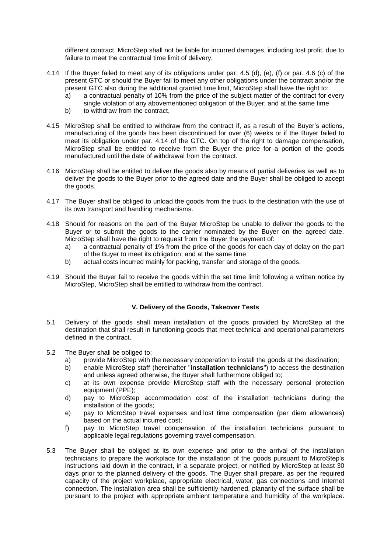different contract. MicroStep shall not be liable for incurred damages, including lost profit, due to failure to meet the contractual time limit of delivery.

- 4.14 If the Buyer failed to meet any of its obligations under par. 4.5 (d), (e), (f) or par. 4.6 (c) of the present GTC or should the Buyer fail to meet any other obligations under the contract and/or the present GTC also during the additional granted time limit, MicroStep shall have the right to:
	- a) a contractual penalty of 10% from the price of the subject matter of the contract for every single violation of any abovementioned obligation of the Buyer; and at the same time
	- b) to withdraw from the contract,
- 4.15 MicroStep shall be entitled to withdraw from the contract if, as a result of the Buyer's actions, manufacturing of the goods has been discontinued for over (6) weeks or if the Buyer failed to meet its obligation under par. 4.14 of the GTC. On top of the right to damage compensation, MicroStep shall be entitled to receive from the Buyer the price for a portion of the goods manufactured until the date of withdrawal from the contract.
- 4.16 MicroStep shall be entitled to deliver the goods also by means of partial deliveries as well as to deliver the goods to the Buyer prior to the agreed date and the Buyer shall be obliged to accept the goods.
- 4.17 The Buyer shall be obliged to unload the goods from the truck to the destination with the use of its own transport and handling mechanisms.
- 4.18 Should for reasons on the part of the Buyer MicroStep be unable to deliver the goods to the Buyer or to submit the goods to the carrier nominated by the Buyer on the agreed date, MicroStep shall have the right to request from the Buyer the payment of:
	- a) a contractual penalty of 1% from the price of the goods for each day of delay on the part of the Buyer to meet its obligation; and at the same time
	- b) actual costs incurred mainly for packing, transfer and storage of the goods.
- 4.19 Should the Buyer fail to receive the goods within the set time limit following a written notice by MicroStep, MicroStep shall be entitled to withdraw from the contract.

## **V. Delivery of the Goods, Takeover Tests**

- 5.1 Delivery of the goods shall mean installation of the goods provided by MicroStep at the destination that shall result in functioning goods that meet technical and operational parameters defined in the contract.
- 5.2 The Buyer shall be obliged to:
	- a) provide MicroStep with the necessary cooperation to install the goods at the destination;
	- b) enable MicroStep staff (hereinafter "**installation technicians**") to access the destination and unless agreed otherwise, the Buyer shall furthermore obliged to;
	- c) at its own expense provide MicroStep staff with the necessary personal protection equipment (PPE);
	- d) pay to MicroStep accommodation cost of the installation technicians during the installation of the goods;
	- e) pay to MicroStep travel expenses and lost time compensation (per diem allowances) based on the actual incurred cost;
	- f) pay to MicroStep travel compensation of the installation technicians pursuant to applicable legal regulations governing travel compensation.
- 5.3 The Buyer shall be obliged at its own expense and prior to the arrival of the installation technicians to prepare the workplace for the installation of the goods pursuant to MicroStep's instructions laid down in the contract, in a separate project, or notified by MicroStep at least 30 days prior to the planned delivery of the goods. The Buyer shall prepare, as per the required capacity of the project workplace, appropriate electrical, water, gas connections and Internet connection. The installation area shall be sufficiently hardened, planarity of the surface shall be pursuant to the project with appropriate ambient temperature and humidity of the workplace.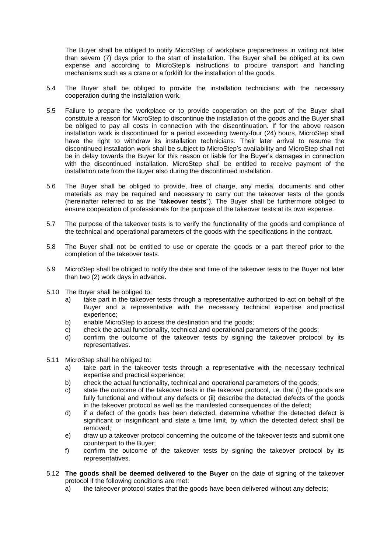The Buyer shall be obliged to notify MicroStep of workplace preparedness in writing not later than sevem (7) days prior to the start of installation. The Buyer shall be obliged at its own expense and according to MicroStep's instructions to procure transport and handling mechanisms such as a crane or a forklift for the installation of the goods.

- 5.4 The Buyer shall be obliged to provide the installation technicians with the necessary cooperation during the installation work.
- 5.5 Failure to prepare the workplace or to provide cooperation on the part of the Buyer shall constitute a reason for MicroStep to discontinue the installation of the goods and the Buyer shall be obliged to pay all costs in connection with the discontinuation. If for the above reason installation work is discontinued for a period exceeding twenty-four (24) hours, MicroStep shall have the right to withdraw its installation technicians. Their later arrival to resume the discontinued installation work shall be subject to MicroStep's availability and MicroStep shall not be in delay towards the Buyer for this reason or liable for the Buyer's damages in connection with the discontinued installation. MicroStep shall be entitled to receive payment of the installation rate from the Buyer also during the discontinued installation.
- 5.6 The Buyer shall be obliged to provide, free of charge, any media, documents and other materials as may be required and necessary to carry out the takeover tests of the goods (hereinafter referred to as the "**takeover tests**"). The Buyer shall be furthermore obliged to ensure cooperation of professionals for the purpose of the takeover tests at its own expense.
- 5.7 The purpose of the takeover tests is to verify the functionality of the goods and compliance of the technical and operational parameters of the goods with the specifications in the contract.
- 5.8 The Buyer shall not be entitled to use or operate the goods or a part thereof prior to the completion of the takeover tests.
- 5.9 MicroStep shall be obliged to notify the date and time of the takeover tests to the Buyer not later than two (2) work days in advance.
- 5.10 The Buyer shall be obliged to:
	- a) take part in the takeover tests through a representative authorized to act on behalf of the Buyer and a representative with the necessary technical expertise and practical experience;
	- b) enable MicroStep to access the destination and the goods;
	- c) check the actual functionality, technical and operational parameters of the goods;
	- d) confirm the outcome of the takeover tests by signing the takeover protocol by its representatives.
- 5.11 MicroStep shall be obliged to:
	- a) take part in the takeover tests through a representative with the necessary technical expertise and practical experience;
	- b) check the actual functionality, technical and operational parameters of the goods;
	- c) state the outcome of the takeover tests in the takeover protocol, i.e. that (i) the goods are fully functional and without any defects or (ii) describe the detected defects of the goods in the takeover protocol as well as the manifested consequences of the defect;
	- d) if a defect of the goods has been detected, determine whether the detected defect is significant or insignificant and state a time limit, by which the detected defect shall be removed;
	- e) draw up a takeover protocol concerning the outcome of the takeover tests and submit one counterpart to the Buyer;
	- f) confirm the outcome of the takeover tests by signing the takeover protocol by its representatives.
- 5.12 **The goods shall be deemed delivered to the Buyer** on the date of signing of the takeover protocol if the following conditions are met:
	- a) the takeover protocol states that the goods have been delivered without any defects;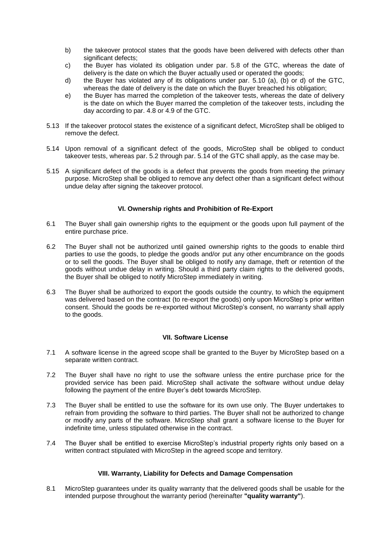- b) the takeover protocol states that the goods have been delivered with defects other than significant defects;
- c) the Buyer has violated its obligation under par. 5.8 of the GTC, whereas the date of delivery is the date on which the Buyer actually used or operated the goods;
- d) the Buyer has violated any of its obligations under par. 5.10 (a), (b) or d) of the GTC, whereas the date of delivery is the date on which the Buyer breached his obligation;
- e) the Buyer has marred the completion of the takeover tests, whereas the date of delivery is the date on which the Buyer marred the completion of the takeover tests, including the day according to par. 4.8 or 4.9 of the GTC.
- 5.13 If the takeover protocol states the existence of a significant defect, MicroStep shall be obliged to remove the defect.
- 5.14 Upon removal of a significant defect of the goods, MicroStep shall be obliged to conduct takeover tests, whereas par. 5.2 through par. 5.14 of the GTC shall apply, as the case may be.
- 5.15 A significant defect of the goods is a defect that prevents the goods from meeting the primary purpose. MicroStep shall be obliged to remove any defect other than a significant defect without undue delay after signing the takeover protocol.

## **VI. Ownership rights and Prohibition of Re-Export**

- 6.1 The Buyer shall gain ownership rights to the equipment or the goods upon full payment of the entire purchase price.
- 6.2 The Buyer shall not be authorized until gained ownership rights to the goods to enable third parties to use the goods, to pledge the goods and/or put any other encumbrance on the goods or to sell the goods. The Buyer shall be obliged to notify any damage, theft or retention of the goods without undue delay in writing. Should a third party claim rights to the delivered goods, the Buyer shall be obliged to notify MicroStep immediately in writing.
- 6.3 The Buyer shall be authorized to export the goods outside the country, to which the equipment was delivered based on the contract (to re-export the goods) only upon MicroStep's prior written consent. Should the goods be re-exported without MicroStep's consent, no warranty shall apply to the goods.

## **VII. Software License**

- 7.1 A software license in the agreed scope shall be granted to the Buyer by MicroStep based on a separate written contract.
- 7.2 The Buyer shall have no right to use the software unless the entire purchase price for the provided service has been paid. MicroStep shall activate the software without undue delay following the payment of the entire Buyer's debt towards MicroStep.
- 7.3 The Buyer shall be entitled to use the software for its own use only. The Buyer undertakes to refrain from providing the software to third parties. The Buyer shall not be authorized to change or modify any parts of the software. MicroStep shall grant a software license to the Buyer for indefinite time, unless stipulated otherwise in the contract.
- 7.4 The Buyer shall be entitled to exercise MicroStep's industrial property rights only based on a written contract stipulated with MicroStep in the agreed scope and territory.

## **VIII. Warranty, Liability for Defects and Damage Compensation**

8.1 MicroStep guarantees under its quality warranty that the delivered goods shall be usable for the intended purpose throughout the warranty period (hereinafter **"quality warranty"**).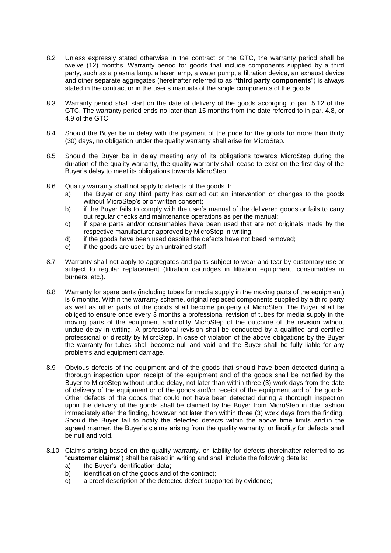- 8.2 Unless expressly stated otherwise in the contract or the GTC, the warranty period shall be twelve (12) months. Warranty period for goods that include components supplied by a third party, such as a plasma lamp, a laser lamp, a water pump, a filtration device, an exhaust device and other separate aggregates (hereinafter referred to as **"third party components**") is always stated in the contract or in the user's manuals of the single components of the goods.
- 8.3 Warranty period shall start on the date of delivery of the goods accorging to par. 5.12 of the GTC. The warranty period ends no later than 15 months from the date referred to in par. 4.8, or 4.9 of the GTC.
- 8.4 Should the Buyer be in delay with the payment of the price for the goods for more than thirty (30) days, no obligation under the quality warranty shall arise for MicroStep.
- 8.5 Should the Buyer be in delay meeting any of its obligations towards MicroStep during the duration of the quality warranty, the quality warranty shall cease to exist on the first day of the Buyer's delay to meet its obligations towards MicroStep.
- 8.6 Quality warranty shall not apply to defects of the goods if:
	- a) the Buyer or any third party has carried out an intervention or changes to the goods without MicroStep's prior written consent:
	- b) if the Buyer fails to comply with the user's manual of the delivered goods or fails to carry out regular checks and maintenance operations as per the manual;
	- c) if spare parts and/or consumables have been used that are not originals made by the respective manufacturer approved by MicroStep in writing;
	- d) if the goods have been used despite the defects have not beed removed;
	- e) if the goods are used by an untrained staff.
- 8.7 Warranty shall not apply to aggregates and parts subject to wear and tear by customary use or subject to regular replacement (filtration cartridges in filtration equipment, consumables in burners, etc.).
- 8.8 Warranty for spare parts (including tubes for media supply in the moving parts of the equipment) is 6 months. Within the warranty scheme, original replaced components supplied by a third party as well as other parts of the goods shall become property of MicroStep. The Buyer shall be obliged to ensure once every 3 months a professional revision of tubes for media supply in the moving parts of the equipment and notify MicroStep of the outcome of the revision without undue delay in writing. A professional revision shall be conducted by a qualified and certified professional or directly by MicroStep. In case of violation of the above obligations by the Buyer the warranty for tubes shall become null and void and the Buyer shall be fully liable for any problems and equipment damage.
- 8.9 Obvious defects of the equipment and of the goods that should have been detected during a thorough inspection upon receipt of the equipment and of the goods shall be notified by the Buyer to MicroStep without undue delay, not later than within three (3) work days from the date of delivery of the equipment or of the goods and/or receipt of the equipment and of the goods. Other defects of the goods that could not have been detected during a thorough inspection upon the delivery of the goods shall be claimed by the Buyer from MicroStep in due fashion immediately after the finding, however not later than within three (3) work days from the finding. Should the Buyer fail to notify the detected defects within the above time limits and in the agreed manner, the Buyer's claims arising from the quality warranty, or liability for defects shall be null and void.
- 8.10 Claims arising based on the quality warranty, or liability for defects (hereinafter referred to as "**customer claims**") shall be raised in writing and shall include the following details:
	- a) the Buyer's identification data;
	- b) identification of the goods and of the contract;
	- c) a breef description of the detected defect supported by evidence;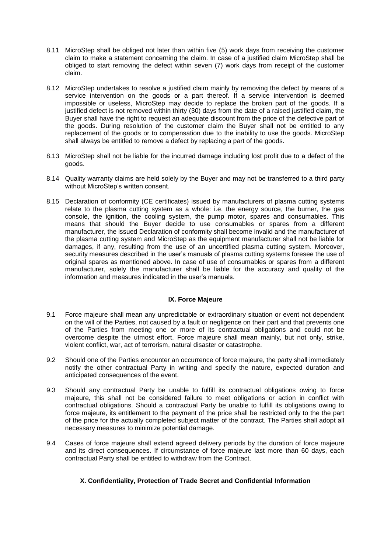- 8.11 MicroStep shall be obliged not later than within five (5) work days from receiving the customer claim to make a statement concerning the claim. In case of a justified claim MicroStep shall be obliged to start removing the defect within seven (7) work days from receipt of the customer claim.
- 8.12 MicroStep undertakes to resolve a justified claim mainly by removing the defect by means of a service intervention on the goods or a part thereof. If a service intervention is deemed impossible or useless, MicroStep may decide to replace the broken part of the goods. If a justified defect is not removed within thirty (30) days from the date of a raised justified claim, the Buyer shall have the right to request an adequate discount from the price of the defective part of the goods. During resolution of the customer claim the Buyer shall not be entitled to any replacement of the goods or to compensation due to the inability to use the goods. MicroStep shall always be entitled to remove a defect by replacing a part of the goods.
- 8.13 MicroStep shall not be liable for the incurred damage including lost profit due to a defect of the goods.
- 8.14 Quality warranty claims are held solely by the Buyer and may not be transferred to a third party without MicroStep's written consent.
- 8.15 Declaration of conformity (CE certificates) issued by manufacturers of plasma cutting systems relate to the plasma cutting system as a whole: i.e. the energy source, the burner, the gas console, the ignition, the cooling system, the pump motor, spares and consumables. This means that should the Buyer decide to use consumables or spares from a different manufacturer, the issued Declaration of conformity shall become invalid and the manufacturer of the plasma cutting system and MicroStep as the equipment manufacturer shall not be liable for damages, if any, resulting from the use of an uncertified plasma cutting system. Moreover, security measures described in the user's manuals of plasma cutting systems foresee the use of original spares as mentioned above. In case of use of consumables or spares from a different manufacturer, solely the manufacturer shall be liable for the accuracy and quality of the information and measures indicated in the user's manuals.

## **IX. Force Majeure**

- 9.1 Force majeure shall mean any unpredictable or extraordinary situation or event not dependent on the will of the Parties, not caused by a fault or negligence on their part and that prevents one of the Parties from meeting one or more of its contractual obligations and could not be overcome despite the utmost effort. Force majeure shall mean mainly, but not only, strike, violent conflict, war, act of terrorism, natural disaster or catastrophe.
- 9.2 Should one of the Parties encounter an occurrence of force majeure, the party shall immediately notify the other contractual Party in writing and specify the nature, expected duration and anticipated consequences of the event.
- 9.3 Should any contractual Party be unable to fulfill its contractual obligations owing to force majeure, this shall not be considered failure to meet obligations or action in conflict with contractual obligations. Should a contractual Party be unable to fulfill its obligations owing to force majeure, its entitlement to the payment of the price shall be restricted only to the the part of the price for the actually completed subject matter of the contract. The Parties shall adopt all necessary measures to minimize potential damage.
- 9.4 Cases of force majeure shall extend agreed delivery periods by the duration of force majeure and its direct consequences. If circumstance of force majeure last more than 60 days, each contractual Party shall be entitled to withdraw from the Contract.

## **X. Confidentiality, Protection of Trade Secret and Confidential Information**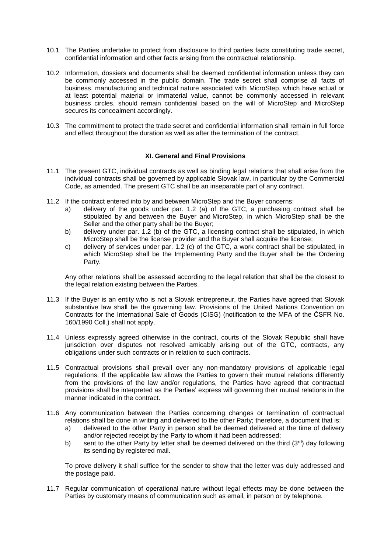- 10.1 The Parties undertake to protect from disclosure to third parties facts constituting trade secret, confidential information and other facts arising from the contractual relationship.
- 10.2 Information, dossiers and documents shall be deemed confidential information unless they can be commonly accessed in the public domain. The trade secret shall comprise all facts of business, manufacturing and technical nature associated with MicroStep, which have actual or at least potential material or immaterial value, cannot be commonly accessed in relevant business circles, should remain confidential based on the will of MicroStep and MicroStep secures its concealment accordingly.
- 10.3 The commitment to protect the trade secret and confidential information shall remain in full force and effect throughout the duration as well as after the termination of the contract.

#### **XI. General and Final Provisions**

- 11.1 The present GTC, individual contracts as well as binding legal relations that shall arise from the individual contracts shall be governed by applicable Slovak law, in particular by the Commercial Code, as amended. The present GTC shall be an inseparable part of any contract.
- 11.2 If the contract entered into by and between MicroStep and the Buyer concerns:
	- a) delivery of the goods under par. 1.2 (a) of the GTC, a purchasing contract shall be stipulated by and between the Buyer and MicroStep, in which MicroStep shall be the Seller and the other party shall be the Buyer;
	- b) delivery under par. 1.2 (b) of the GTC, a licensing contract shall be stipulated, in which MicroStep shall be the license provider and the Buyer shall acquire the license;
	- c) delivery of services under par. 1.2 (c) of the GTC, a work contract shall be stipulated, in which MicroStep shall be the Implementing Party and the Buyer shall be the Ordering Party.

Any other relations shall be assessed according to the legal relation that shall be the closest to the legal relation existing between the Parties.

- 11.3 If the Buyer is an entity who is not a Slovak entrepreneur, the Parties have agreed that Slovak substantive law shall be the governing law. Provisions of the United Nations Convention on Contracts for the International Sale of Goods (CISG) (notification to the MFA of the ČSFR No. 160/1990 Coll.) shall not apply.
- 11.4 Unless expressly agreed otherwise in the contract, courts of the Slovak Republic shall have jurisdiction over disputes not resolved amicably arising out of the GTC, contracts, any obligations under such contracts or in relation to such contracts.
- 11.5 Contractual provisions shall prevail over any non-mandatory provisions of applicable legal regulations. If the applicable law allows the Parties to govern their mutual relations differently from the provisions of the law and/or regulations, the Parties have agreed that contractual provisions shall be interpreted as the Parties' express will governing their mutual relations in the manner indicated in the contract.
- 11.6 Any communication between the Parties concerning changes or termination of contractual relations shall be done in writing and delivered to the other Party; therefore, a document that is:
	- a) delivered to the other Party in person shall be deemed delivered at the time of delivery and/or rejected receipt by the Party to whom it had been addressed;
	- b) sent to the other Party by letter shall be deemed delivered on the third  $(3^{rd})$  day following its sending by registered mail.

To prove delivery it shall suffice for the sender to show that the letter was duly addressed and the postage paid.

11.7 Regular communication of operational nature without legal effects may be done between the Parties by customary means of communication such as email, in person or by telephone.